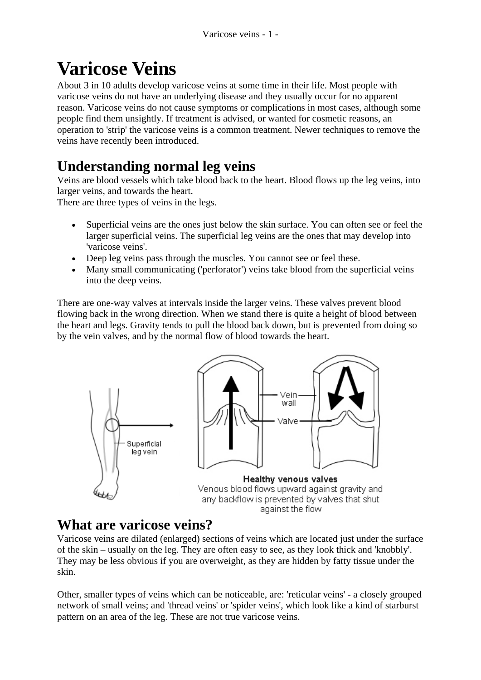# **Varicose Veins**

About 3 in 10 adults develop varicose veins at some time in their life. Most people with varicose veins do not have an underlying disease and they usually occur for no apparent reason. Varicose veins do not cause symptoms or complications in most cases, although some people find them unsightly. If treatment is advised, or wanted for cosmetic reasons, an operation to 'strip' the varicose veins is a common treatment. Newer techniques to remove the veins have recently been introduced.

# **Understanding normal leg veins**

Veins are blood vessels which take blood back to the heart. Blood flows up the leg veins, into larger veins, and towards the heart.

There are three types of veins in the legs.

- Superficial veins are the ones just below the skin surface. You can often see or feel the larger superficial veins. The superficial leg veins are the ones that may develop into 'varicose veins'.
- Deep leg veins pass through the muscles. You cannot see or feel these.
- Many small communicating ('perforator') veins take blood from the superficial veins into the deep veins.

There are one-way valves at intervals inside the larger veins. These valves prevent blood flowing back in the wrong direction. When we stand there is quite a height of blood between the heart and legs. Gravity tends to pull the blood back down, but is prevented from doing so by the vein valves, and by the normal flow of blood towards the heart.



## **What are varicose veins?**

Varicose veins are dilated (enlarged) sections of veins which are located just under the surface of the skin – usually on the leg. They are often easy to see, as they look thick and 'knobbly'. They may be less obvious if you are overweight, as they are hidden by fatty tissue under the skin.

Other, smaller types of veins which can be noticeable, are: 'reticular veins' - a closely grouped network of small veins; and 'thread veins' or 'spider veins', which look like a kind of starburst pattern on an area of the leg. These are not true varicose veins.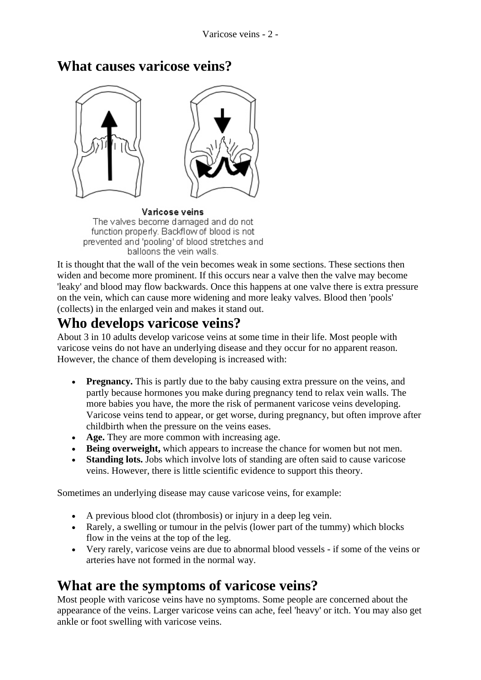

### **What causes varicose veins?**

Varicose veins The valves become damaged and do not function properly. Backflow of blood is not prevented and 'pooling' of blood stretches and balloons the vein walls.

It is thought that the wall of the vein becomes weak in some sections. These sections then widen and become more prominent. If this occurs near a valve then the valve may become 'leaky' and blood may flow backwards. Once this happens at one valve there is extra pressure on the vein, which can cause more widening and more leaky valves. Blood then 'pools' (collects) in the enlarged vein and makes it stand out.

### **Who develops varicose veins?**

About 3 in 10 adults develop varicose veins at some time in their life. Most people with varicose veins do not have an underlying disease and they occur for no apparent reason. However, the chance of them developing is increased with:

- **Pregnancy.** This is partly due to the baby causing extra pressure on the veins, and partly because hormones you make during pregnancy tend to relax vein walls. The more babies you have, the more the risk of permanent varicose veins developing. Varicose veins tend to appear, or get worse, during pregnancy, but often improve after childbirth when the pressure on the veins eases.
- **Age.** They are more common with increasing age.
- **Being overweight,** which appears to increase the chance for women but not men.
- **Standing lots.** Jobs which involve lots of standing are often said to cause varicose veins. However, there is little scientific evidence to support this theory.

Sometimes an underlying disease may cause varicose veins, for example:

- A previous blood clot (thrombosis) or injury in a deep leg vein.
- Rarely, a swelling or tumour in the pelvis (lower part of the tummy) which blocks flow in the veins at the top of the leg.
- Very rarely, varicose veins are due to abnormal blood vessels if some of the veins or arteries have not formed in the normal way.

# **What are the symptoms of varicose veins?**

Most people with varicose veins have no symptoms. Some people are concerned about the appearance of the veins. Larger varicose veins can ache, feel 'heavy' or itch. You may also get ankle or foot swelling with varicose veins.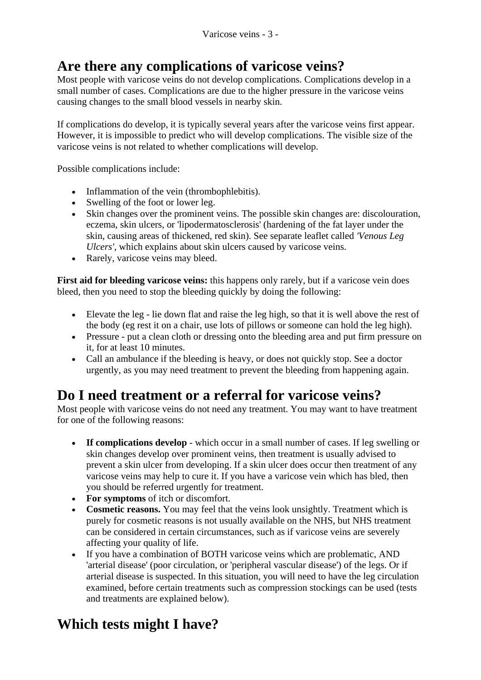# **Are there any complications of varicose veins?**

Most people with varicose veins do not develop complications. Complications develop in a small number of cases. Complications are due to the higher pressure in the varicose veins causing changes to the small blood vessels in nearby skin.

If complications do develop, it is typically several years after the varicose veins first appear. However, it is impossible to predict who will develop complications. The visible size of the varicose veins is not related to whether complications will develop.

Possible complications include:

- Inflammation of the vein (thrombophlebitis).
- Swelling of the foot or lower leg.
- Skin changes over the prominent veins. The possible skin changes are: discolouration, eczema, skin ulcers, or 'lipodermatosclerosis' (hardening of the fat layer under the skin, causing areas of thickened, red skin). See separate leaflet called *'Venous Leg Ulcers'*, which explains about skin ulcers caused by varicose veins.
- Rarely, varicose veins may bleed.

**First aid for bleeding varicose veins:** this happens only rarely, but if a varicose vein does bleed, then you need to stop the bleeding quickly by doing the following:

- Elevate the leg lie down flat and raise the leg high, so that it is well above the rest of the body (eg rest it on a chair, use lots of pillows or someone can hold the leg high).
- Pressure put a clean cloth or dressing onto the bleeding area and put firm pressure on it, for at least 10 minutes.
- Call an ambulance if the bleeding is heavy, or does not quickly stop. See a doctor urgently, as you may need treatment to prevent the bleeding from happening again.

### **Do I need treatment or a referral for varicose veins?**

Most people with varicose veins do not need any treatment. You may want to have treatment for one of the following reasons:

- **If complications develop** which occur in a small number of cases. If leg swelling or skin changes develop over prominent veins, then treatment is usually advised to prevent a skin ulcer from developing. If a skin ulcer does occur then treatment of any varicose veins may help to cure it. If you have a varicose vein which has bled, then you should be referred urgently for treatment.
- **For symptoms** of itch or discomfort.
- **Cosmetic reasons.** You may feel that the veins look unsightly. Treatment which is purely for cosmetic reasons is not usually available on the NHS, but NHS treatment can be considered in certain circumstances, such as if varicose veins are severely affecting your quality of life.
- If you have a combination of BOTH varicose veins which are problematic, AND 'arterial disease' (poor circulation, or 'peripheral vascular disease') of the legs. Or if arterial disease is suspected. In this situation, you will need to have the leg circulation examined, before certain treatments such as compression stockings can be used (tests and treatments are explained below).

## **Which tests might I have?**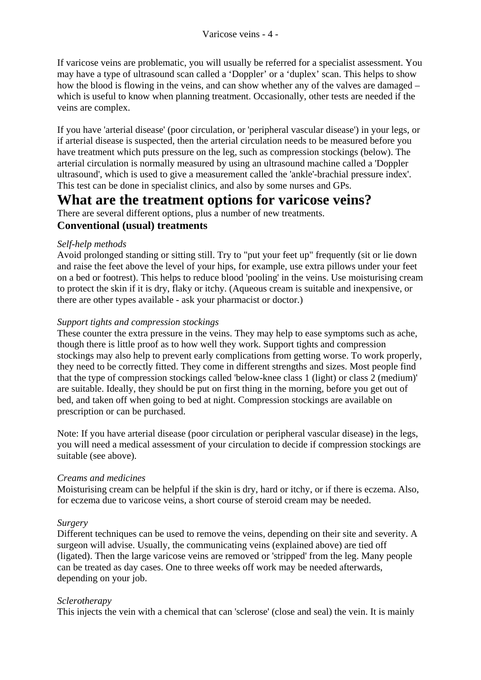If varicose veins are problematic, you will usually be referred for a specialist assessment. You may have a type of ultrasound scan called a 'Doppler' or a 'duplex' scan. This helps to show how the blood is flowing in the veins, and can show whether any of the valves are damaged – which is useful to know when planning treatment. Occasionally, other tests are needed if the veins are complex.

If you have 'arterial disease' (poor circulation, or 'peripheral vascular disease') in your legs, or if arterial disease is suspected, then the arterial circulation needs to be measured before you have treatment which puts pressure on the leg, such as compression stockings (below). The arterial circulation is normally measured by using an ultrasound machine called a 'Doppler ultrasound', which is used to give a measurement called the 'ankle'-brachial pressure index'. This test can be done in specialist clinics, and also by some nurses and GPs.

### **What are the treatment options for varicose veins?**

There are several different options, plus a number of new treatments. **Conventional (usual) treatments** 

#### *Self-help methods*

Avoid prolonged standing or sitting still. Try to "put your feet up" frequently (sit or lie down and raise the feet above the level of your hips, for example, use extra pillows under your feet on a bed or footrest). This helps to reduce blood 'pooling' in the veins. Use moisturising cream to protect the skin if it is dry, flaky or itchy. (Aqueous cream is suitable and inexpensive, or there are other types available - ask your pharmacist or doctor.)

#### *Support tights and compression stockings*

These counter the extra pressure in the veins. They may help to ease symptoms such as ache, though there is little proof as to how well they work. Support tights and compression stockings may also help to prevent early complications from getting worse. To work properly, they need to be correctly fitted. They come in different strengths and sizes. Most people find that the type of compression stockings called 'below-knee class 1 (light) or class 2 (medium)' are suitable. Ideally, they should be put on first thing in the morning, before you get out of bed, and taken off when going to bed at night. Compression stockings are available on prescription or can be purchased.

Note: If you have arterial disease (poor circulation or peripheral vascular disease) in the legs, you will need a medical assessment of your circulation to decide if compression stockings are suitable (see above).

#### *Creams and medicines*

Moisturising cream can be helpful if the skin is dry, hard or itchy, or if there is eczema. Also, for eczema due to varicose veins, a short course of steroid cream may be needed.

#### *Surgery*

Different techniques can be used to remove the veins, depending on their site and severity. A surgeon will advise. Usually, the communicating veins (explained above) are tied off (ligated). Then the large varicose veins are removed or 'stripped' from the leg. Many people can be treated as day cases. One to three weeks off work may be needed afterwards, depending on your job.

#### *Sclerotherapy*

This injects the vein with a chemical that can 'sclerose' (close and seal) the vein. It is mainly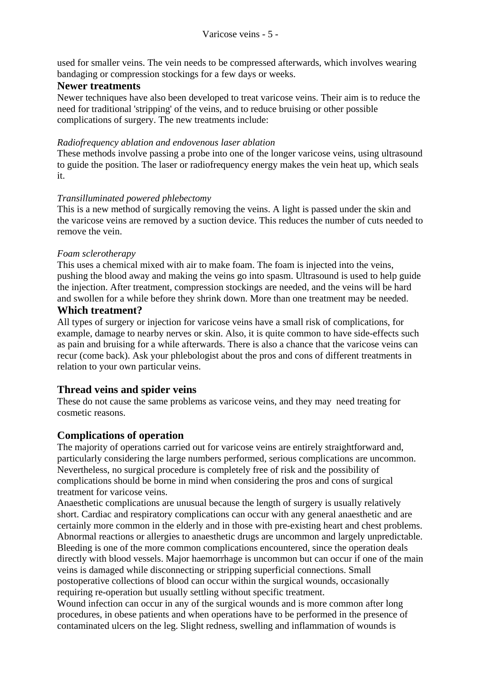used for smaller veins. The vein needs to be compressed afterwards, which involves wearing bandaging or compression stockings for a few days or weeks.

#### **Newer treatments**

Newer techniques have also been developed to treat varicose veins. Their aim is to reduce the need for traditional 'stripping' of the veins, and to reduce bruising or other possible complications of surgery. The new treatments include:

#### *Radiofrequency ablation and endovenous laser ablation*

These methods involve passing a probe into one of the longer varicose veins, using ultrasound to guide the position. The laser or radiofrequency energy makes the vein heat up, which seals it.

#### *Transilluminated powered phlebectomy*

This is a new method of surgically removing the veins. A light is passed under the skin and the varicose veins are removed by a suction device. This reduces the number of cuts needed to remove the vein.

#### *Foam sclerotherapy*

This uses a chemical mixed with air to make foam. The foam is injected into the veins, pushing the blood away and making the veins go into spasm. Ultrasound is used to help guide the injection. After treatment, compression stockings are needed, and the veins will be hard and swollen for a while before they shrink down. More than one treatment may be needed.

#### **Which treatment?**

All types of surgery or injection for varicose veins have a small risk of complications, for example, damage to nearby nerves or skin. Also, it is quite common to have side-effects such as pain and bruising for a while afterwards. There is also a chance that the varicose veins can recur (come back). Ask your phlebologist about the pros and cons of different treatments in relation to your own particular veins.

#### **Thread veins and spider veins**

These do not cause the same problems as varicose veins, and they may need treating for cosmetic reasons.

#### **Complications of operation**

The majority of operations carried out for varicose veins are entirely straightforward and, particularly considering the large numbers performed, serious complications are uncommon. Nevertheless, no surgical procedure is completely free of risk and the possibility of complications should be borne in mind when considering the pros and cons of surgical treatment for varicose veins.

Anaesthetic complications are unusual because the length of surgery is usually relatively short. Cardiac and respiratory complications can occur with any general anaesthetic and are certainly more common in the elderly and in those with pre-existing heart and chest problems. Abnormal reactions or allergies to anaesthetic drugs are uncommon and largely unpredictable. Bleeding is one of the more common complications encountered, since the operation deals directly with blood vessels. Major haemorrhage is uncommon but can occur if one of the main veins is damaged while disconnecting or stripping superficial connections. Small postoperative collections of blood can occur within the surgical wounds, occasionally requiring re-operation but usually settling without specific treatment.

Wound infection can occur in any of the surgical wounds and is more common after long procedures, in obese patients and when operations have to be performed in the presence of contaminated ulcers on the leg. Slight redness, swelling and inflammation of wounds is